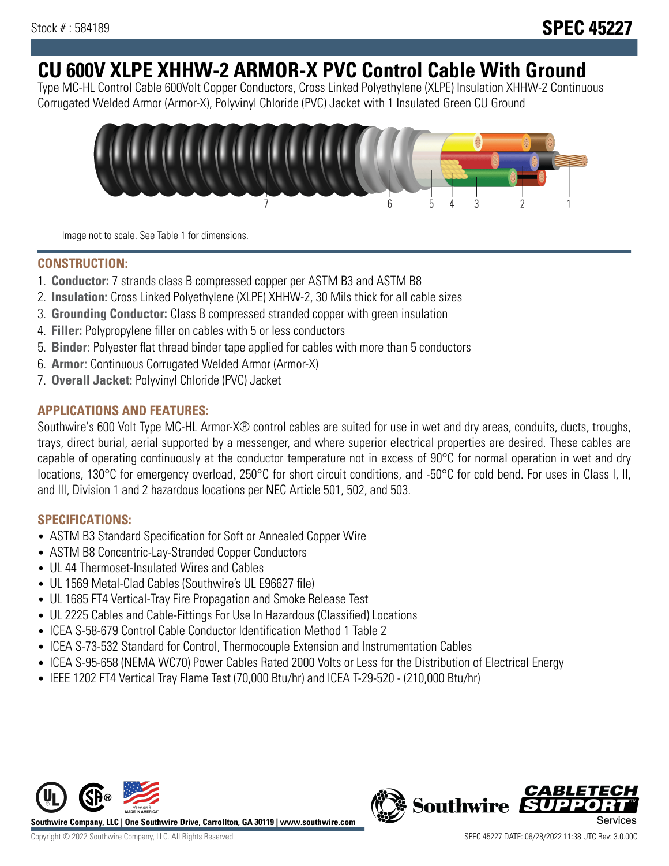# **CU 600V XLPE XHHW-2 ARMOR-X PVC Control Cable With Ground**

Type MC-HL Control Cable 600Volt Copper Conductors, Cross Linked Polyethylene (XLPE) Insulation XHHW-2 Continuous Corrugated Welded Armor (Armor-X), Polyvinyl Chloride (PVC) Jacket with 1 Insulated Green CU Ground



Image not to scale. See Table 1 for dimensions.

## **CONSTRUCTION:**

- 1. **Conductor:** 7 strands class B compressed copper per ASTM B3 and ASTM B8
- 2. **Insulation:** Cross Linked Polyethylene (XLPE) XHHW-2, 30 Mils thick for all cable sizes
- 3. **Grounding Conductor:** Class B compressed stranded copper with green insulation
- 4. **Filler:** Polypropylene filler on cables with 5 or less conductors
- 5. **Binder:** Polyester flat thread binder tape applied for cables with more than 5 conductors
- 6. **Armor:** Continuous Corrugated Welded Armor (Armor-X)
- 7. **Overall Jacket:** Polyvinyl Chloride (PVC) Jacket

## **APPLICATIONS AND FEATURES:**

Southwire's 600 Volt Type MC-HL Armor-X® control cables are suited for use in wet and dry areas, conduits, ducts, troughs, trays, direct burial, aerial supported by a messenger, and where superior electrical properties are desired. These cables are capable of operating continuously at the conductor temperature not in excess of 90°C for normal operation in wet and dry locations, 130°C for emergency overload, 250°C for short circuit conditions, and -50°C for cold bend. For uses in Class I, II, and III, Division 1 and 2 hazardous locations per NEC Article 501, 502, and 503.

## **SPECIFICATIONS:**

- ASTM B3 Standard Specification for Soft or Annealed Copper Wire
- ASTM B8 Concentric-Lay-Stranded Copper Conductors
- UL 44 Thermoset-Insulated Wires and Cables
- UL 1569 Metal-Clad Cables (Southwire's UL E96627 file)
- UL 1685 FT4 Vertical-Tray Fire Propagation and Smoke Release Test
- UL 2225 Cables and Cable-Fittings For Use In Hazardous (Classified) Locations
- ICEA S-58-679 Control Cable Conductor Identification Method 1 Table 2
- ICEA S-73-532 Standard for Control, Thermocouple Extension and Instrumentation Cables
- ICEA S-95-658 (NEMA WC70) Power Cables Rated 2000 Volts or Less for the Distribution of Electrical Energy
- IEEE 1202 FT4 Vertical Tray Flame Test (70,000 Btu/hr) and ICEA T-29-520 (210,000 Btu/hr)



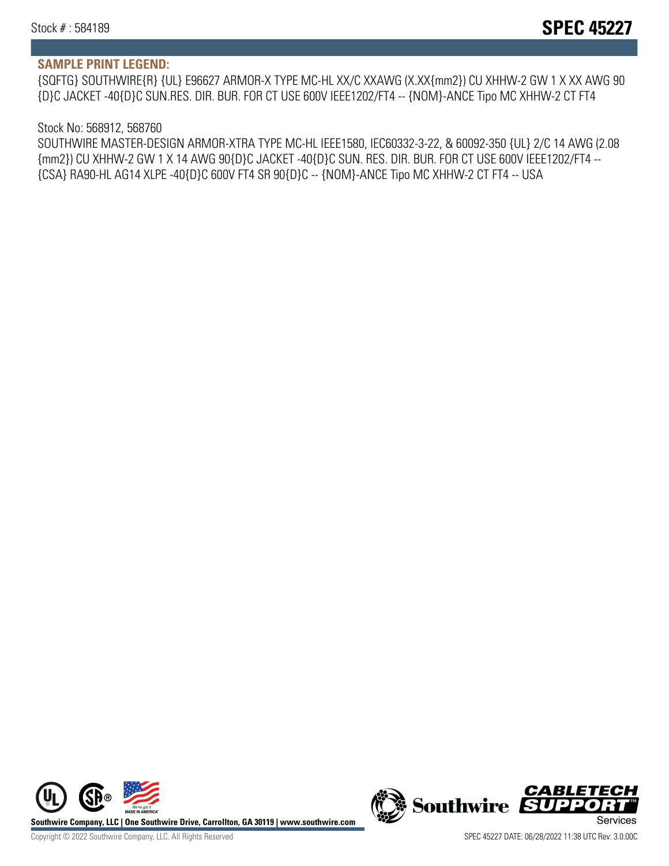#### **SAMPLE PRINT LEGEND:**

{SQFTG} SOUTHWIRE{R} {UL} E96627 ARMOR-X TYPE MC-HL XX/C XXAWG (X.XX{mm2}) CU XHHW-2 GW 1 X XX AWG 90 {D}C JACKET -40{D}C SUN.RES. DIR. BUR. FOR CT USE 600V IEEE1202/FT4 -- {NOM}-ANCE Tipo MC XHHW-2 CT FT4

#### Stock No: 568912, 568760

SOUTHWIRE MASTER-DESIGN ARMOR-XTRA TYPE MC-HL IEEE1580, IEC60332-3-22, & 60092-350 {UL} 2/C 14 AWG (2.08 {mm2}) CU XHHW-2 GW 1 X 14 AWG 90{D}C JACKET -40{D}C SUN. RES. DIR. BUR. FOR CT USE 600V IEEE1202/FT4 -- {CSA} RA90-HL AG14 XLPE -40{D}C 600V FT4 SR 90{D}C -- {NOM}-ANCE Tipo MC XHHW-2 CT FT4 -- USA